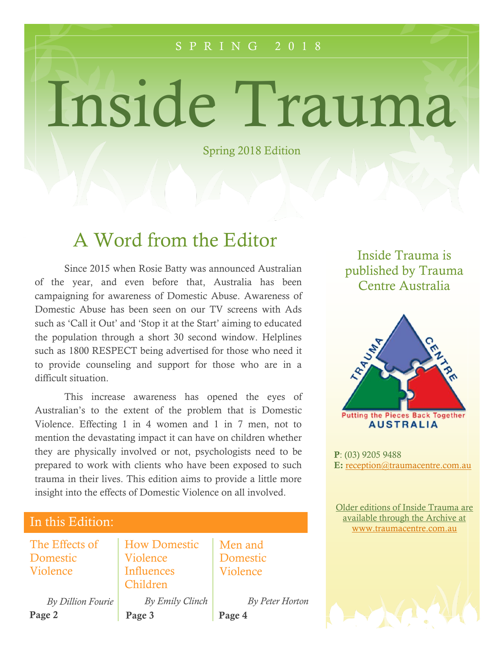#### S P R I N G 2 0 1 8

# Inside Trauma

Spring 2018 Edition

## A Word from the Editor

Since 2015 when Rosie Batty was announced Australian of the year, and even before that, Australia has been campaigning for awareness of Domestic Abuse. Awareness of Domestic Abuse has been seen on our TV screens with Ads such as 'Call it Out' and 'Stop it at the Start' aiming to educated the population through a short 30 second window. Helplines such as 1800 RESPECT being advertised for those who need it to provide counseling and support for those who are in a difficult situation.

This increase awareness has opened the eyes of Australian's to the extent of the problem that is Domestic Violence. Effecting 1 in 4 women and 1 in 7 men, not to mention the devastating impact it can have on children whether they are physically involved or not, psychologists need to be prepared to work with clients who have been exposed to such trauma in their lives. This edition aims to provide a little more insight into the effects of Domestic Violence on all involved.

#### In this Edition:

The Effects of Domestic Violence

How Domestic Violence Influences Children

Men and Domestic Violence

Page 2 *By Dillion Fourie*

Page 3 *By Emily Clinch* Page 4 *By Peter Horton*

#### Inside Trauma is published by Trauma Centre Australia



P: (03) 9205 9488 E: [reception@traumacentre.com.au](mailto:reception@traumacentre.com.au)

Older editions of Inside Trauma are available through the Archive at [www.traumacentre.com.au](http://www.traumacentre.com.au/)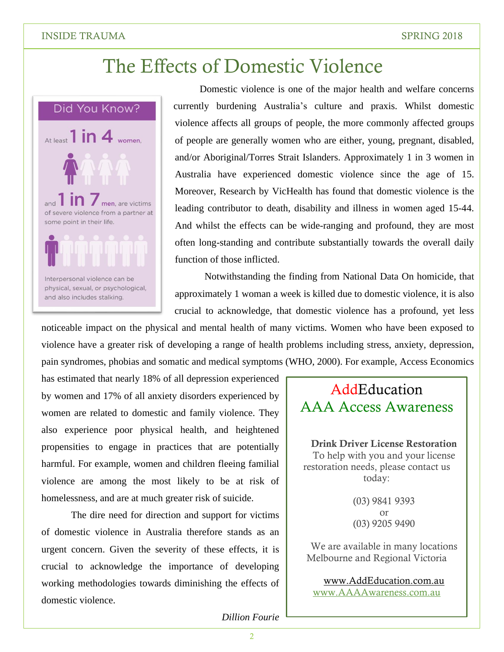## The Effects of Domestic Violence



Domestic violence is one of the major health and welfare concerns currently burdening Australia's culture and praxis. Whilst domestic violence affects all groups of people, the more commonly affected groups of people are generally women who are either, young, pregnant, disabled, and/or Aboriginal/Torres Strait Islanders. Approximately 1 in 3 women in Australia have experienced domestic violence since the age of 15. Moreover, Research by VicHealth has found that domestic violence is the leading contributor to death, disability and illness in women aged 15-44. And whilst the effects can be wide-ranging and profound, they are most often long-standing and contribute substantially towards the overall daily function of those inflicted.

Notwithstanding the finding from National Data On homicide, that approximately 1 woman a week is killed due to domestic violence, it is also crucial to acknowledge, that domestic violence has a profound, yet less

noticeable impact on the physical and mental health of many victims. Women who have been exposed to violence have a greater risk of developing a range of health problems including stress, anxiety, depression, pain syndromes, phobias and somatic and medical symptoms (WHO, 2000). For example, Access Economics

has estimated that nearly 18% of all depression experienced by women and 17% of all anxiety disorders experienced by women are related to domestic and family violence. They also experience poor physical health, and heightened propensities to engage in practices that are potentially harmful. For example, women and children fleeing familial violence are among the most likely to be at risk of homelessness, and are at much greater risk of suicide.

The dire need for direction and support for victims of domestic violence in Australia therefore stands as an urgent concern. Given the severity of these effects, it is crucial to acknowledge the importance of developing working methodologies towards diminishing the effects of domestic violence.

### **AddEducation** AAA Access Awareness

Drink Driver License Restoration To help with you and your license restoration needs, please contact us today:

> (03) 9841 9393 or (03) 9205 9490

We are available in many locations Melbourne and Regional Victoria

[www.AddEducation.com.au](http://www.addeducation.com.au/) [www.AAAAwareness.com.au](http://www.aaaawareness.com.au/)

#### *Dillion Fourie*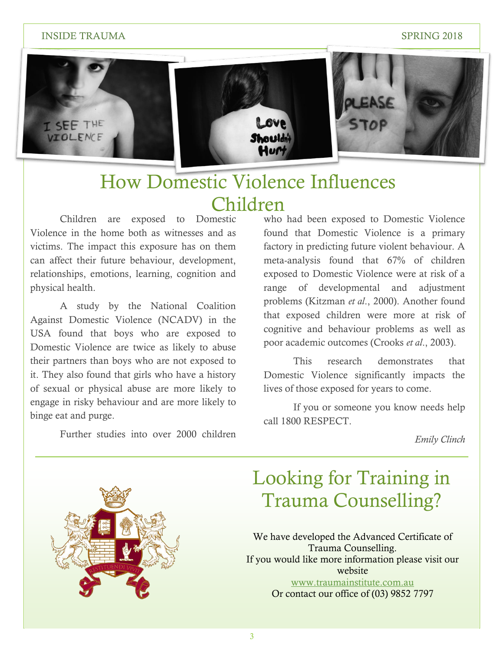#### INSIDE TRAUMA SPRING 2018



## How Domestic Violence Influences Children

Children are exposed to Domestic Violence in the home both as witnesses and as victims. The impact this exposure has on them can affect their future behaviour, development, relationships, emotions, learning, cognition and physical health.

A study by the National Coalition Against Domestic Violence (NCADV) in the USA found that boys who are exposed to Domestic Violence are twice as likely to abuse their partners than boys who are not exposed to it. They also found that girls who have a history of sexual or physical abuse are more likely to engage in risky behaviour and are more likely to binge eat and purge.

Further studies into over 2000 children

who had been exposed to Domestic Violence found that Domestic Violence is a primary factory in predicting future violent behaviour. A meta-analysis found that 67% of children exposed to Domestic Violence were at risk of a range of developmental and adjustment problems (Kitzman *et al*., 2000). Another found that exposed children were more at risk of cognitive and behaviour problems as well as poor academic outcomes (Crooks *et al*., 2003).

This research demonstrates that Domestic Violence significantly impacts the lives of those exposed for years to come.

If you or someone you know needs help call 1800 RESPECT.

*Emily Clinch*



## Looking for Training in Trauma Counselling?

We have developed the Advanced Certificate of Trauma Counselling. If you would like more information please visit our website [www.traumainstitute.com.au](http://www.traumainstitute.com.au/) Or contact our office of (03) 9852 7797